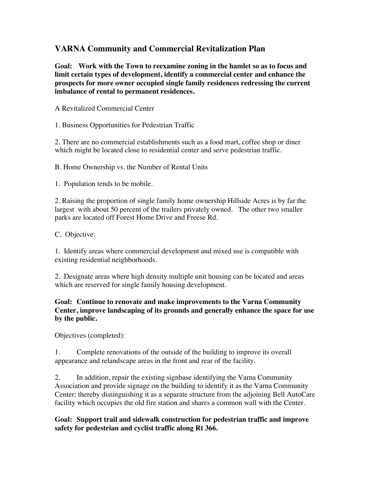# **VARNA Community and Commercial Revitalization Plan**

**Goal: Work with the Town to reexamine zoning in the hamlet so as to focus and limit certain types of development, identify a commercial center and enhance the prospects for more owner occupied single family residences redressing the current imbalance of rental to permanent residences.** 

A Revitalized Commercial Center

1. Business Opportunities for Pedestrian Traffic

2. There are no commercial establishments such as a food mart, coffee shop or diner which might be located close to residential center and serve pedestrian traffic.

B. Home Ownership vs. the Number of Rental Units

1. Population tends to be mobile.

2. Raising the proportion of single family home ownership Hillside Acres is by far the largest with about 50 percent of the trailers privately owned. The other two smaller parks are located off Forest Home Drive and Freese Rd.

C. Objective:

1. Identify areas where commercial development and mixed use is compatible with existing residential neighborhoods.

2. Designate areas where high density multiple unit housing can be located and areas which are reserved for single family housing development.

#### **Goal: Continue to renovate and make improvements to the Varna Community Center, improve landscaping of its grounds and generally enhance the space for use by the public.**

Objectives (completed):

1. Complete renovations of the outside of the building to improve its overall appearance and relandscape areas in the front and rear of the facility.

2. In addition, repair the existing signbase identifying the Varna Community Association and provide signage on the building to identify it as the Varna Community Center; thereby distinguishing it as a separate structure from the adjoining Bell AutoCare facility which occupies the old fire station and shares a common wall with the Center.

**Goal: Support trail and sidewalk construction for pedestrian traffic and improve safety for pedestrian and cyclist traffic along Rt 366.**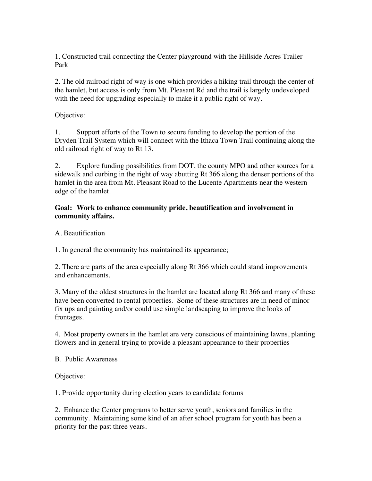1. Constructed trail connecting the Center playground with the Hillside Acres Trailer Park

2. The old railroad right of way is one which provides a hiking trail through the center of the hamlet, but access is only from Mt. Pleasant Rd and the trail is largely undeveloped with the need for upgrading especially to make it a public right of way.

#### Objective:

1. Support efforts of the Town to secure funding to develop the portion of the Dryden Trail System which will connect with the Ithaca Town Trail continuing along the old railroad right of way to Rt 13.

2. Explore funding possibilities from DOT, the county MPO and other sources for a sidewalk and curbing in the right of way abutting Rt 366 along the denser portions of the hamlet in the area from Mt. Pleasant Road to the Lucente Apartments near the western edge of the hamlet.

#### **Goal: Work to enhance community pride, beautification and involvement in community affairs.**

A. Beautification

1. In general the community has maintained its appearance;

2. There are parts of the area especially along Rt 366 which could stand improvements and enhancements.

3. Many of the oldest structures in the hamlet are located along Rt 366 and many of these have been converted to rental properties. Some of these structures are in need of minor fix ups and painting and/or could use simple landscaping to improve the looks of frontages.

4. Most property owners in the hamlet are very conscious of maintaining lawns, planting flowers and in general trying to provide a pleasant appearance to their properties

B. Public Awareness

Objective:

1. Provide opportunity during election years to candidate forums

2. Enhance the Center programs to better serve youth, seniors and families in the community. Maintaining some kind of an after school program for youth has been a priority for the past three years.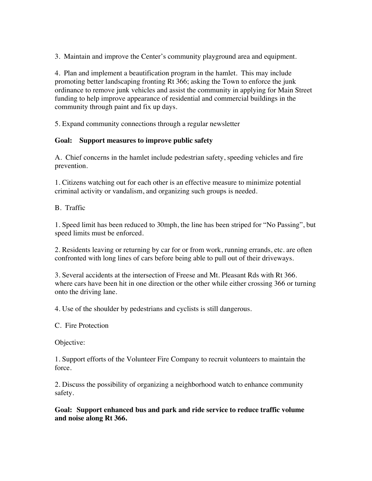3. Maintain and improve the Center's community playground area and equipment.

4. Plan and implement a beautification program in the hamlet. This may include promoting better landscaping fronting Rt 366; asking the Town to enforce the junk ordinance to remove junk vehicles and assist the community in applying for Main Street funding to help improve appearance of residential and commercial buildings in the community through paint and fix up days.

5. Expand community connections through a regular newsletter

## **Goal: Support measures to improve public safety**

A. Chief concerns in the hamlet include pedestrian safety, speeding vehicles and fire prevention.

1. Citizens watching out for each other is an effective measure to minimize potential criminal activity or vandalism, and organizing such groups is needed.

## B. Traffic

1. Speed limit has been reduced to 30mph, the line has been striped for "No Passing", but speed limits must be enforced.

2. Residents leaving or returning by car for or from work, running errands, etc. are often confronted with long lines of cars before being able to pull out of their driveways.

3. Several accidents at the intersection of Freese and Mt. Pleasant Rds with Rt 366. where cars have been hit in one direction or the other while either crossing 366 or turning onto the driving lane.

4. Use of the shoulder by pedestrians and cyclists is still dangerous.

C. Fire Protection

Objective:

1. Support efforts of the Volunteer Fire Company to recruit volunteers to maintain the force.

2. Discuss the possibility of organizing a neighborhood watch to enhance community safety.

**Goal: Support enhanced bus and park and ride service to reduce traffic volume and noise along Rt 366.**